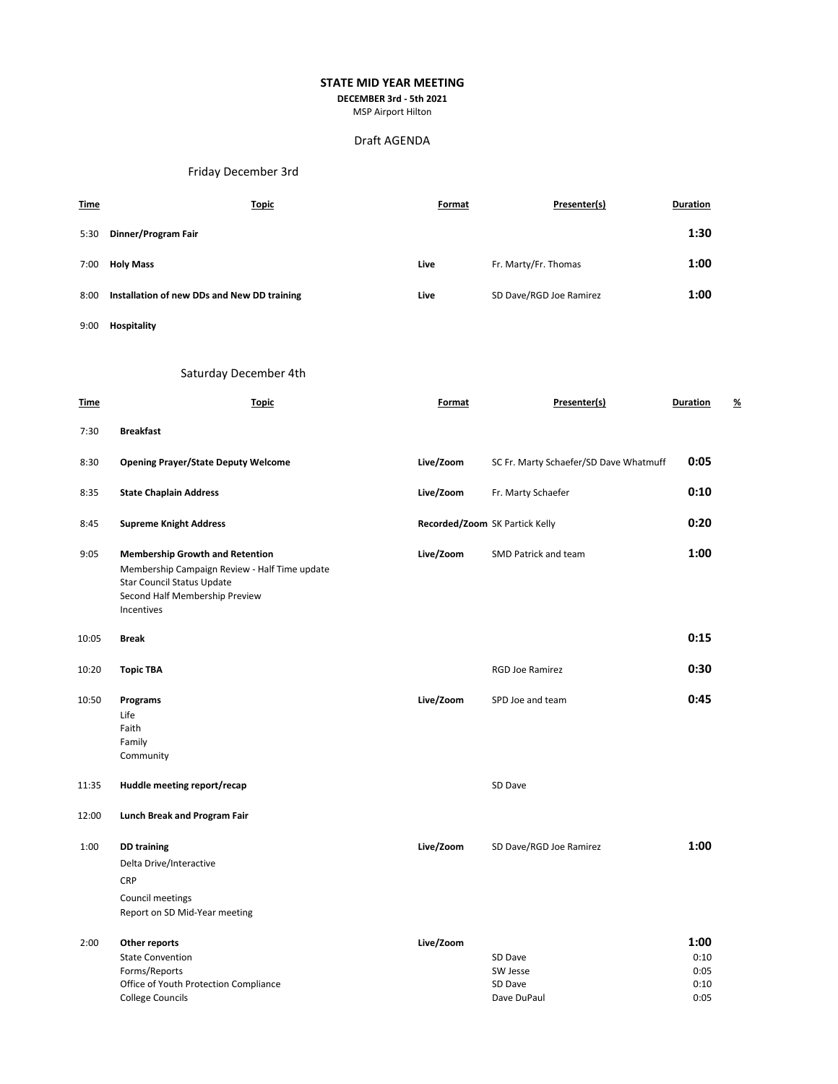## **STATE MID YEAR MEETING**

**DECEMBER 3rd - 5th 2021**

MSP Airport Hilton

## Draft AGENDA

## Friday December 3rd

| <u>Time</u> | <b>Topic</b>                                                                                                                                                          | <b>Format</b>                  | Presenter(s)                                  | <b>Duration</b>                      |          |
|-------------|-----------------------------------------------------------------------------------------------------------------------------------------------------------------------|--------------------------------|-----------------------------------------------|--------------------------------------|----------|
| 5:30        | Dinner/Program Fair                                                                                                                                                   |                                |                                               | 1:30                                 |          |
| 7:00        | <b>Holy Mass</b>                                                                                                                                                      | Live                           | Fr. Marty/Fr. Thomas                          | 1:00                                 |          |
| 8:00        | Installation of new DDs and New DD training                                                                                                                           | Live                           | SD Dave/RGD Joe Ramirez                       | 1:00                                 |          |
| 9:00        | Hospitality                                                                                                                                                           |                                |                                               |                                      |          |
|             | Saturday December 4th                                                                                                                                                 |                                |                                               |                                      |          |
| <u>Time</u> | <b>Topic</b>                                                                                                                                                          | <b>Format</b>                  | Presenter(s)                                  | Duration                             | <u>%</u> |
| 7:30        | <b>Breakfast</b>                                                                                                                                                      |                                |                                               |                                      |          |
| 8:30        | <b>Opening Prayer/State Deputy Welcome</b>                                                                                                                            | Live/Zoom                      | SC Fr. Marty Schaefer/SD Dave Whatmuff        | 0:05                                 |          |
| 8:35        | <b>State Chaplain Address</b>                                                                                                                                         | Live/Zoom                      | Fr. Marty Schaefer                            | 0:10                                 |          |
| 8:45        | <b>Supreme Knight Address</b>                                                                                                                                         | Recorded/Zoom SK Partick Kelly |                                               | 0:20                                 |          |
| 9:05        | <b>Membership Growth and Retention</b><br>Membership Campaign Review - Half Time update<br>Star Council Status Update<br>Second Half Membership Preview<br>Incentives | Live/Zoom                      | SMD Patrick and team                          | 1:00                                 |          |
| 10:05       | <b>Break</b>                                                                                                                                                          |                                |                                               | 0:15                                 |          |
| 10:20       | <b>Topic TBA</b>                                                                                                                                                      |                                | <b>RGD Joe Ramirez</b>                        | 0:30                                 |          |
| 10:50       | Programs<br>Life<br>Faith<br>Family<br>Community                                                                                                                      | Live/Zoom                      | SPD Joe and team                              | 0:45                                 |          |
| 11:35       | Huddle meeting report/recap                                                                                                                                           |                                | SD Dave                                       |                                      |          |
| 12:00       | Lunch Break and Program Fair                                                                                                                                          |                                |                                               |                                      |          |
| 1:00        | <b>DD</b> training<br>Delta Drive/Interactive<br><b>CRP</b><br>Council meetings<br>Report on SD Mid-Year meeting                                                      | Live/Zoom                      | SD Dave/RGD Joe Ramirez                       | 1:00                                 |          |
| 2:00        | Other reports<br><b>State Convention</b><br>Forms/Reports<br>Office of Youth Protection Compliance<br><b>College Councils</b>                                         | Live/Zoom                      | SD Dave<br>SW Jesse<br>SD Dave<br>Dave DuPaul | 1:00<br>0:10<br>0:05<br>0:10<br>0:05 |          |